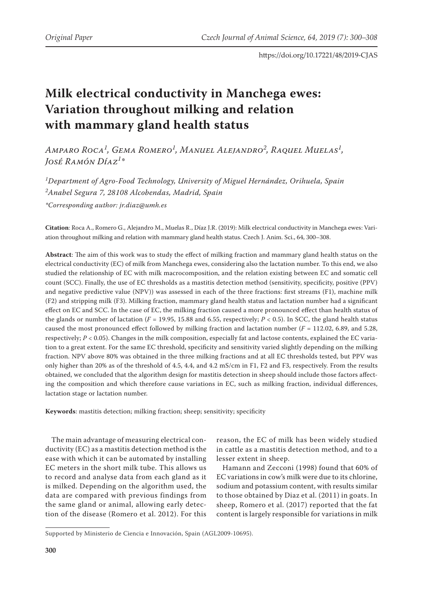# **Milk electrical conductivity in Manchega ewes: Variation throughout milking and relation with mammary gland health status**

*Amparo Roca<sup>1</sup> , Gema Romero<sup>1</sup> , Manuel Alejandro<sup>2</sup> , Raquel Muelas<sup>1</sup> , José Ramón Díaz<sup>1</sup> \**

*1 Department of Agro-Food Technology, University of Miguel Hernández, Orihuela, Spain 2 Anabel Segura 7, 28108 Alcobendas, Madrid, Spain \*Corresponding author: jr.diaz@umh.es*

**Citation**: Roca A., Romero G., Alejandro M., Muelas R., Díaz J.R. (2019): Milk electrical conductivity in Manchega ewes: Variation throughout milking and relation with mammary gland health status. Czech J. Anim. Sci., 64, 300–308.

**Abstract**: The aim of this work was to study the effect of milking fraction and mammary gland health status on the electrical conductivity (EC) of milk from Manchega ewes, considering also the lactation number. To this end, we also studied the relationship of EC with milk macrocomposition, and the relation existing between EC and somatic cell count (SCC). Finally, the use of EC thresholds as a mastitis detection method (sensitivity, specificity, positive (PPV) and negative predictive value (NPV)) was assessed in each of the three fractions: first streams (F1), machine milk (F2) and stripping milk (F3). Milking fraction, mammary gland health status and lactation number had a significant effect on EC and SCC. In the case of EC, the milking fraction caused a more pronounced effect than health status of the glands or number of lactation ( $F = 19.95$ , 15.88 and 6.55, respectively;  $P < 0.5$ ). In SCC, the gland health status caused the most pronounced effect followed by milking fraction and lactation number (*F* = 112.02, 6.89, and 5.28, respectively;  $P < 0.05$ ). Changes in the milk composition, especially fat and lactose contents, explained the EC variation to a great extent. For the same EC threshold, specificity and sensitivity varied slightly depending on the milking fraction. NPV above 80% was obtained in the three milking fractions and at all EC thresholds tested, but PPV was only higher than 20% as of the threshold of 4.5, 4.4, and 4.2 mS/cm in F1, F2 and F3, respectively. From the results obtained, we concluded that the algorithm design for mastitis detection in sheep should include those factors affecting the composition and which therefore cause variations in EC, such as milking fraction, individual differences, lactation stage or lactation number.

**Keywords**: mastitis detection; milking fraction; sheep; sensitivity; specificity

The main advantage of measuring electrical conductivity (EC) as a mastitis detection method is the ease with which it can be automated by installing EC meters in the short milk tube. This allows us to record and analyse data from each gland as it is milked. Depending on the algorithm used, the data are compared with previous findings from the same gland or animal, allowing early detection of the disease (Romero et al. 2012). For this

reason, the EC of milk has been widely studied in cattle as a mastitis detection method, and to a lesser extent in sheep.

Hamann and Zecconi (1998) found that 60% of EC variations in cow's milk were due to its chlorine, sodium and potassium content, with results similar to those obtained by Diaz et al. (2011) in goats. In sheep, Romero et al. (2017) reported that the fat content is largely responsible for variations in milk

Supported by Ministerio de Ciencia e Innovación, Spain (AGL2009-10695).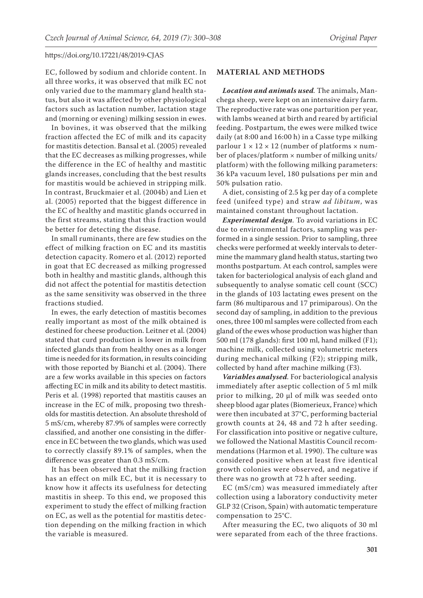EC, followed by sodium and chloride content. In all three works, it was observed that milk EC not only varied due to the mammary gland health status, but also it was affected by other physiological factors such as lactation number, lactation stage and (morning or evening) milking session in ewes.

In bovines, it was observed that the milking fraction affected the EC of milk and its capacity for mastitis detection. Bansal et al. (2005) revealed that the EC decreases as milking progresses, while the difference in the EC of healthy and mastitic glands increases, concluding that the best results for mastitis would be achieved in stripping milk. In contrast, Bruckmaier et al. (2004b) and Lien et al. (2005) reported that the biggest difference in the EC of healthy and mastitic glands occurred in the first streams, stating that this fraction would be better for detecting the disease.

In small ruminants, there are few studies on the effect of milking fraction on EC and its mastitis detection capacity. Romero et al. (2012) reported in goat that EC decreased as milking progressed both in healthy and mastitic glands, although this did not affect the potential for mastitis detection as the same sensitivity was observed in the three fractions studied.

In ewes, the early detection of mastitis becomes really important as most of the milk obtained is destined for cheese production. Leitner et al. (2004) stated that curd production is lower in milk from infected glands than from healthy ones as a longer time is needed for its formation, in results coinciding with those reported by Bianchi et al. (2004). There are a few works available in this species on factors affecting EC in milk and its ability to detect mastitis. Peris et al. (1998) reported that mastitis causes an increase in the EC of milk, proposing two thresholds for mastitis detection. An absolute threshold of 5 mS/cm, whereby 87.9% of samples were correctly classified, and another one consisting in the difference in EC between the two glands, which was used to correctly classify 89.1% of samples, when the difference was greater than 0.3 mS/cm.

It has been observed that the milking fraction has an effect on milk EC, but it is necessary to know how it affects its usefulness for detecting mastitis in sheep. To this end, we proposed this experiment to study the effect of milking fraction on EC, as well as the potential for mastitis detection depending on the milking fraction in which the variable is measured.

#### **MATERIAL AND METHODS**

*Location and animals used.* The animals, Manchega sheep, were kept on an intensive dairy farm. The reproductive rate was one parturition per year, with lambs weaned at birth and reared by artificial feeding. Postpartum, the ewes were milked twice daily (at 8:00 and 16:00 h) in a Casse type milking parlour  $1 \times 12 \times 12$  (number of platforms  $\times$  number of places/platform  $\times$  number of milking units/ platform) with the following milking parameters: 36 kPa vacuum level, 180 pulsations per min and 50% pulsation ratio.

A diet, consisting of 2.5 kg per day of a complete feed (unifeed type) and straw *ad libitum*, was maintained constant throughout lactation.

*Experimental design*. To avoid variations in EC due to environmental factors, sampling was performed in a single session. Prior to sampling, three checks were performed at weekly intervals to determine the mammary gland health status, starting two months postpartum. At each control, samples were taken for bacteriological analysis of each gland and subsequently to analyse somatic cell count (SCC) in the glands of 103 lactating ewes present on the farm (86 multiparous and 17 primiparous). On the second day of sampling, in addition to the previous ones, three 100 ml samples were collected from each gland of the ewes whose production was higher than 500 ml (178 glands): first 100 ml, hand milked (F1); machine milk, collected using volumetric meters during mechanical milking (F2); stripping milk, collected by hand after machine milking (F3).

*Variables analysed.* For bacteriological analysis immediately after aseptic collection of 5 ml milk prior to milking, 20 µl of milk was seeded onto sheep blood agar plates (Biomerieux, France) which were then incubated at 37°C, performing bacterial growth counts at 24, 48 and 72 h after seeding. For classification into positive or negative culture, we followed the National Mastitis Council recommendations (Harmon et al. 1990). The culture was considered positive when at least five identical growth colonies were observed, and negative if there was no growth at 72 h after seeding.

EC (mS/cm) was measured immediately after collection using a laboratory conductivity meter GLP 32 (Crison, Spain) with automatic temperature compensation to 25°C.

After measuring the EC, two aliquots of 30 ml were separated from each of the three fractions.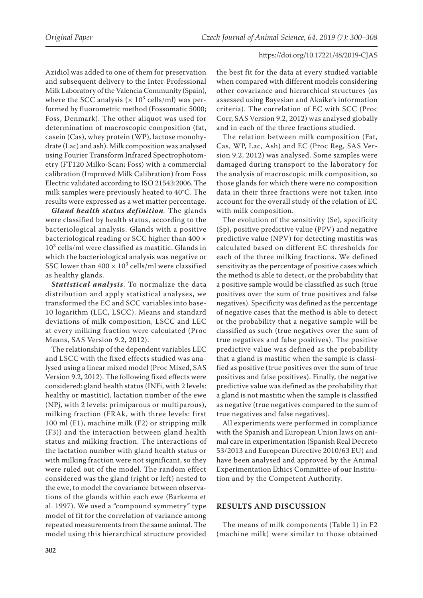Azidiol was added to one of them for preservation and subsequent delivery to the Inter-Professional Milk Laboratory of the Valencia Community (Spain), where the SCC analysis ( $\times$  10<sup>3</sup> cells/ml) was performed by fluorometric method (Fossomatic 5000; Foss, Denmark). The other aliquot was used for determination of macroscopic composition (fat, casein (Cas), whey protein (WP), lactose monohydrate (Lac) and ash). Milk composition was analysed using Fourier Transform Infrared Spectrophotometry (FT120 Milko-Scan; Foss) with a commercial calibration (Improved Milk Calibration) from Foss Electric validated according to ISO 21543:2006. The milk samples were previously heated to 40°C. The results were expressed as a wet matter percentage.

*Gland health status definition.* The glands were classified by health status, according to the bacteriological analysis. Glands with a positive bacteriological reading or SCC higher than 400 ×  $10<sup>3</sup>$  cells/ml were classified as mastitic. Glands in which the bacteriological analysis was negative or SSC lower than  $400 \times 10^3$  cells/ml were classified as healthy glands.

*Statistical analysis*. To normalize the data distribution and apply statistical analyses, we transformed the EC and SCC variables into base-10 logarithm (LEC, LSCC). Means and standard deviations of milk composition, LSCC and LEC at every milking fraction were calculated (Proc Means, SAS Version 9.2, 2012).

The relationship of the dependent variables LEC and LSCC with the fixed effects studied was analysed using a linear mixed model (Proc Mixed, SAS Version 9.2, 2012). The following fixed effects were considered: gland health status (INFi, with 2 levels: healthy or mastitic), lactation number of the ewe (NPj, with 2 levels: primiparous or multiparous), milking fraction (FRAk, with three levels: first 100 ml (F1), machine milk (F2) or stripping milk (F3)) and the interaction between gland health status and milking fraction. The interactions of the lactation number with gland health status or with milking fraction were not significant, so they were ruled out of the model. The random effect considered was the gland (right or left) nested to the ewe, to model the covariance between observations of the glands within each ewe (Barkema et al. 1997). We used a "compound symmetry" type model of fit for the correlation of variance among repeated measurements from the same animal. The model using this hierarchical structure provided

the best fit for the data at every studied variable when compared with different models considering other covariance and hierarchical structures (as assessed using Bayesian and Akaike's information criteria). The correlation of EC with SCC (Proc Corr, SAS Version 9.2, 2012) was analysed globally and in each of the three fractions studied.

The relation between milk composition (Fat, Cas, WP, Lac, Ash) and EC (Proc Reg, SAS Version 9.2, 2012) was analysed. Some samples were damaged during transport to the laboratory for the analysis of macroscopic milk composition, so those glands for which there were no composition data in their three fractions were not taken into account for the overall study of the relation of EC with milk composition.

The evolution of the sensitivity (Se), specificity (Sp), positive predictive value (PPV) and negative predictive value (NPV) for detecting mastitis was calculated based on different EC thresholds for each of the three milking fractions. We defined sensitivity as the percentage of positive cases which the method is able to detect, or the probability that a positive sample would be classified as such (true positives over the sum of true positives and false negatives). Specificity was defined as the percentage of negative cases that the method is able to detect or the probability that a negative sample will be classified as such (true negatives over the sum of true negatives and false positives). The positive predictive value was defined as the probability that a gland is mastitic when the sample is classified as positive (true positives over the sum of true positives and false positives). Finally, the negative predictive value was defined as the probability that a gland is not mastitic when the sample is classified as negative (true negatives compared to the sum of true negatives and false negatives).

All experiments were performed in compliance with the Spanish and European Union laws on animal care in experimentation (Spanish Real Decreto 53/2013 and European Directive 2010/63 EU) and have been analysed and approved by the Animal Experimentation Ethics Committee of our Institution and by the Competent Authority.

## **RESULTS AND DISCUSSION**

The means of milk components (Table 1) in F2 (machine milk) were similar to those obtained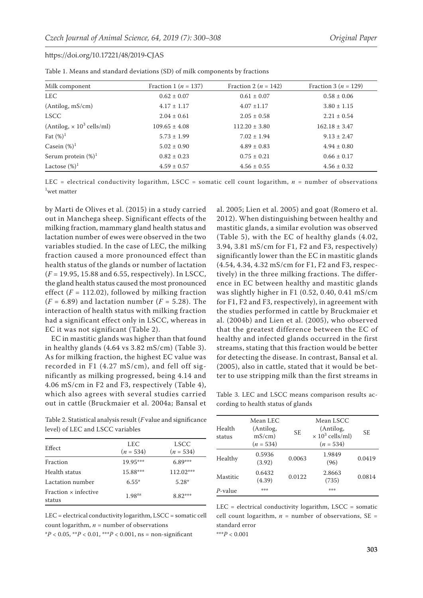| Milk component                               | Fraction 1 ( $n = 137$ ) | Fraction 2 ( $n = 142$ ) | Fraction 3 ( $n = 129$ ) |
|----------------------------------------------|--------------------------|--------------------------|--------------------------|
| <b>LEC</b>                                   | $0.62 \pm 0.07$          | $0.61 \pm 0.07$          | $0.58 \pm 0.06$          |
| (Antilog, mS/cm)                             | $4.17 \pm 1.17$          | $4.07 \pm 1.17$          | $3.80 \pm 1.15$          |
| <b>LSCC</b>                                  | $2.04 \pm 0.61$          | $2.05 \pm 0.58$          | $2.21 \pm 0.54$          |
| (Antilog, $\times$ 10 <sup>3</sup> cells/ml) | $109.65 \pm 4.08$        | $112.20 \pm 3.80$        | $162.18 \pm 3.47$        |
| Fat $(\%)^1$                                 | $5.73 \pm 1.99$          | $7.02 \pm 1.94$          | $9.13 \pm 2.47$          |
| Casein $(\%)^1$                              | $5.02 \pm 0.90$          | $4.89 \pm 0.83$          | $4.94 \pm 0.80$          |
| Serum protein $(\%)^1$                       | $0.82 \pm 0.23$          | $0.75 \pm 0.21$          | $0.66 \pm 0.17$          |
| Lactose $(\%)^1$                             | $4.59 \pm 0.57$          | $4.56 \pm 0.55$          | $4.56 \pm 0.32$          |

| Table 1. Means and standard deviations (SD) of milk components by fractions |  |
|-----------------------------------------------------------------------------|--|
|-----------------------------------------------------------------------------|--|

LEC = electrical conductivity logarithm, LSCC = somatic cell count logarithm, *n* = number of observations 1 wet matter

by Marti de Olives et al. (2015) in a study carried out in Manchega sheep. Significant effects of the milking fraction, mammary gland health status and lactation number of ewes were observed in the two variables studied. In the case of LEC, the milking fraction caused a more pronounced effect than health status of the glands or number of lactation (*F* = 19.95, 15.88 and 6.55, respectively). In LSCC, the gland health status caused the most pronounced effect  $(F = 112.02)$ , followed by milking fraction  $(F = 6.89)$  and lactation number  $(F = 5.28)$ . The interaction of health status with milking fraction had a significant effect only in LSCC, whereas in EC it was not significant (Table 2).

EC in mastitic glands was higher than that found in healthy glands (4.64 vs 3.82 mS/cm) (Table 3). As for milking fraction, the highest EC value was recorded in F1 (4.27 mS/cm), and fell off significantly as milking progressed, being 4.14 and 4.06 mS/cm in F2 and F3, respectively (Table 4), which also agrees with several studies carried out in cattle (Bruckmaier et al. 2004a; Bansal et 2012). When distinguishing between healthy and mastitic glands, a similar evolution was observed (Table 5), with the EC of healthy glands (4.02, 3.94, 3.81 mS/cm for F1, F2 and F3, respectively) significantly lower than the EC in mastitic glands (4.54, 4.34, 4.32 mS/cm for F1, F2 and F3, respectively) in the three milking fractions. The difference in EC between healthy and mastitic glands was slightly higher in F1 (0.52, 0.40, 0.41 mS/cm for F1, F2 and F3, respectively), in agreement with the studies performed in cattle by Bruckmaier et al. (2004b) and Lien et al. (2005), who observed that the greatest difference between the EC of healthy and infected glands occurred in the first streams, stating that this fraction would be better for detecting the disease. In contrast, Bansal et al. (2005), also in cattle, stated that it would be better to use stripping milk than the first streams in

al. 2005; Lien et al. 2005) and goat (Romero et al.

Table 3. LEC and LSCC means comparison results according to health status of glands

| level) of LEC and LSCC variables      |                           |                     |  |  |  |  |  |
|---------------------------------------|---------------------------|---------------------|--|--|--|--|--|
| Effect                                | <b>LEC</b><br>$(n = 534)$ | LSCC<br>$(n = 534)$ |  |  |  |  |  |
| Fraction                              | $19.95***$                | $6.89***$           |  |  |  |  |  |
| Health status                         | 15.88***                  | 112.02***           |  |  |  |  |  |
| Lactation number                      | $6.55*$                   | $5.28*$             |  |  |  |  |  |
| Fraction $\times$ infective<br>status | 1.98 <sup>ns</sup>        | $8.82***$           |  |  |  |  |  |

Table 2. Statistical analysis result (*F* value and significance

LEC = electrical conductivity logarithm, LSCC = somatic cell count logarithm,  $n =$  number of observations

 $*P < 0.05$ ,  $*P < 0.01$ ,  $* * P < 0.001$ , ns = non-significant

| Health<br>status | Mean LEC<br>(Antilog,<br>$mS/cm$ )<br>$(n = 534)$ | SE.    | Mean LSCC<br>(Antilog,<br>$\times 10^3$ cells/ml)<br>$(n = 534)$ | SE.    |
|------------------|---------------------------------------------------|--------|------------------------------------------------------------------|--------|
| Healthy          | 0.5936<br>(3.92)                                  | 0.0063 | 1.9849<br>(96)                                                   | 0.0419 |
| Mastitic         | 0.6432<br>(4.39)                                  | 0.0122 | 2.8663<br>(735)                                                  | 0.0814 |
| P-value          | 染染染                                               |        | 染染染                                                              |        |

 $LEC = electrical conductivity logarithm, LSCC = somatic$ cell count logarithm,  $n =$  number of observations,  $SE =$ standard error

\*\*\**P* < 0.001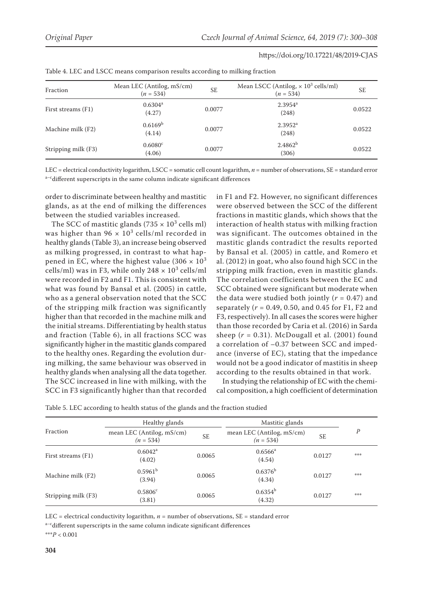|                     |                                          | $\overline{\phantom{0}}$ |                                                                       |           |
|---------------------|------------------------------------------|--------------------------|-----------------------------------------------------------------------|-----------|
| Fraction            | Mean LEC (Antilog, mS/cm)<br>$(n = 534)$ | <b>SE</b>                | Mean LSCC (Antilog, $\times$ 10 <sup>3</sup> cells/ml)<br>$(n = 534)$ | <b>SE</b> |
| First streams (F1)  | $0.6304^{\rm a}$<br>(4.27)               | 0.0077                   | $2.3954$ <sup>a</sup><br>(248)                                        | 0.0522    |
| Machine milk (F2)   | 0.6169 <sup>b</sup><br>(4.14)            | 0.0077                   | $2.3952$ <sup>a</sup><br>(248)                                        | 0.0522    |
| Stripping milk (F3) | $0.6080^{\circ}$<br>(4.06)               | 0.0077                   | 2.4862 <sup>b</sup><br>(306)                                          | 0.0522    |

Table 4. LEC and LSCC means comparison results according to milking fraction

LEC = electrical conductivity logarithm, LSCC = somatic cell count logarithm, *n* = number of observations, SE = standard error  $a-c$  different superscripts in the same column indicate significant differences

order to discriminate between healthy and mastitic glands, as at the end of milking the differences between the studied variables increased.

The SCC of mastitic glands (735  $\times$  10<sup>3</sup> cells ml) was higher than 96  $\times$  10<sup>3</sup> cells/ml recorded in healthy glands (Table 3), an increase being observed as milking progressed, in contrast to what happened in EC, where the highest value  $(306 \times 10^3)$ cells/ml) was in F3, while only  $248 \times 10^3$  cells/ml were recorded in F2 and F1. This is consistent with what was found by Bansal et al. (2005) in cattle, who as a general observation noted that the SCC of the stripping milk fraction was significantly higher than that recorded in the machine milk and the initial streams. Differentiating by health status and fraction (Table 6), in all fractions SCC was significantly higher in the mastitic glands compared to the healthy ones. Regarding the evolution during milking, the same behaviour was observed in healthy glands when analysing all the data together. The SCC increased in line with milking, with the SCC in F3 significantly higher than that recorded

in F1 and F2. However, no significant differences were observed between the SCC of the different fractions in mastitic glands, which shows that the interaction of health status with milking fraction was significant. The outcomes obtained in the mastitic glands contradict the results reported by Bansal et al. (2005) in cattle, and Romero et al. (2012) in goat, who also found high SCC in the stripping milk fraction, even in mastitic glands. The correlation coefficients between the EC and SCC obtained were significant but moderate when the data were studied both jointly  $(r = 0.47)$  and separately (*r* = 0.49, 0.50, and 0.45 for F1, F2 and F3, respectively). In all cases the scores were higher than those recorded by Caria et al. (2016) in Sarda sheep  $(r = 0.31)$ . McDougall et al.  $(2001)$  found a correlation of –0.37 between SCC and impedance (inverse of EC), stating that the impedance would not be a good indicator of mastitis in sheep according to the results obtained in that work.

In studying the relationship of EC with the chemical composition, a high coefficient of determination

|                     | Healthy glands                           |           | Mastitic glands                          |           |     |  |
|---------------------|------------------------------------------|-----------|------------------------------------------|-----------|-----|--|
| Fraction            | mean LEC (Antilog, mS/cm)<br>$(n = 534)$ | <b>SE</b> | mean LEC (Antilog, mS/cm)<br>$(n = 534)$ | <b>SE</b> | Р   |  |
| First streams (F1)  | $0.6042$ <sup>a</sup><br>(4.02)          | 0.0065    | $0.6566^{\rm a}$<br>(4.54)               | 0.0127    | *** |  |
| Machine milk (F2)   | 0.5961 <sup>b</sup><br>(3.94)            | 0.0065    | $0.6376^{b}$<br>(4.34)                   | 0.0127    | *** |  |
| Stripping milk (F3) | $0.5806^{\circ}$<br>(3.81)               | 0.0065    | $0.6354^{b}$<br>(4.32)                   | 0.0127    | *** |  |

Table 5. LEC according to health status of the glands and the fraction studied

LEC = electrical conductivity logarithm,  $n =$  number of observations,  $SE =$  standard error

a-cdifferent superscripts in the same column indicate significant differences

\*\*\**P* < 0.001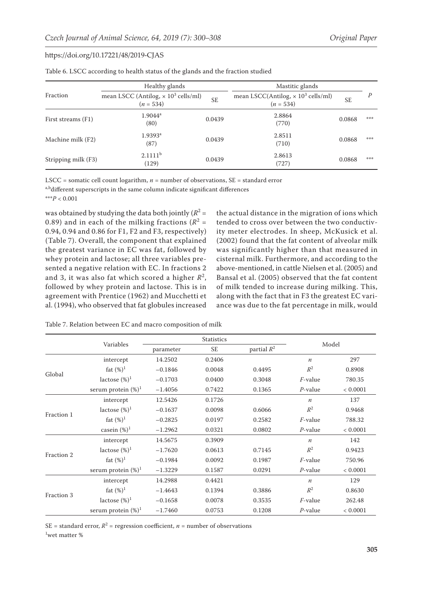|                     | Healthy glands                                                        |        | Mastitic glands                                                                   |        |     |
|---------------------|-----------------------------------------------------------------------|--------|-----------------------------------------------------------------------------------|--------|-----|
| Fraction            | mean LSCC (Antilog, $\times$ 10 <sup>3</sup> cells/ml)<br>$(n = 534)$ |        | mean LSCC(Antilog, $\times$ 10 <sup>3</sup> cells/ml)<br><b>SE</b><br>$(n = 534)$ |        | Ρ   |
| First streams (F1)  | $1.9044^a$<br>(80)                                                    | 0.0439 | 2.8864<br>(770)                                                                   | 0.0868 | *** |
| Machine milk (F2)   | $1.9393$ <sup>a</sup><br>(87)                                         | 0.0439 | 2.8511<br>(710)                                                                   | 0.0868 | *** |
| Stripping milk (F3) | 2.1111 <sup>b</sup><br>(129)                                          | 0.0439 | 2.8613<br>(727)                                                                   | 0.0868 | *** |

Table 6. LSCC according to health status of the glands and the fraction studied

LSCC = somatic cell count logarithm,  $n =$  number of observations,  $SE =$  standard error

a,bdifferent superscripts in the same column indicate significant differences

\*\*\**P* < 0.001

was obtained by studying the data both jointly ( $R^2$  = 0.89) and in each of the milking fractions ( $R^2 =$ 0.94, 0.94 and 0.86 for F1, F2 and F3, respectively) (Table 7). Overall, the component that explained the greatest variance in EC was fat, followed by whey protein and lactose; all three variables presented a negative relation with EC. In fractions 2 and 3, it was also fat which scored a higher *R*<sup>2</sup> , followed by whey protein and lactose. This is in agreement with Prentice (1962) and Mucchetti et al. (1994), who observed that fat globules increased

the actual distance in the migration of ions which tended to cross over between the two conductivity meter electrodes. In sheep, McKusick et al. (2002) found that the fat content of alveolar milk was significantly higher than that measured in cisternal milk. Furthermore, and according to the above-mentioned, in cattle Nielsen et al. (2005) and Bansal et al. (2005) observed that the fat content of milk tended to increase during milking. This, along with the fact that in F3 the greatest EC variance was due to the fat percentage in milk, would

|  |  |  |  | Table 7. Relation between EC and macro composition of milk |  |  |  |  |  |  |  |  |  |
|--|--|--|--|------------------------------------------------------------|--|--|--|--|--|--|--|--|--|
|--|--|--|--|------------------------------------------------------------|--|--|--|--|--|--|--|--|--|

|            |                        | <b>Statistics</b> |        |               | Model            |          |  |
|------------|------------------------|-------------------|--------|---------------|------------------|----------|--|
|            | Variables              | SE<br>parameter   |        | partial $R^2$ |                  |          |  |
|            | intercept              | 14.2502           | 0.2406 |               | $\boldsymbol{n}$ | 297      |  |
| Global     | fat $(\%)^1$           | $-0.1846$         | 0.0048 | 0.4495        | $R^2$            | 0.8908   |  |
|            | lactose $(\%)^1$       | $-0.1703$         | 0.0400 | 0.3048        | $F$ -value       | 780.35   |  |
|            | serum protein $(\%)^1$ | $-1.4056$         | 0.7422 | 0.1365        | $P$ -value       | < 0.0001 |  |
|            | intercept              | 12.5426           | 0.1726 |               | $\boldsymbol{n}$ | 137      |  |
|            | lactose $(\%)^1$       | $-0.1637$         | 0.0098 | 0.6066        | $R^2$            | 0.9468   |  |
| Fraction 1 | fat $(\%)^1$           | $-0.2825$         | 0.0197 | 0.2582        | <i>F</i> -value  | 788.32   |  |
|            | casein $(\%)^1$        | $-1.2962$         | 0.0321 | 0.0802        | $P$ -value       | < 0.0001 |  |
|            | intercept              | 14.5675           | 0.3909 |               | $\boldsymbol{n}$ | 142      |  |
| Fraction 2 | lactose $(\%)^1$       | $-1.7620$         | 0.0613 | 0.7145        | $R^2$            | 0.9423   |  |
|            | fat $(\%)^1$           | $-0.1984$         | 0.0092 | 0.1987        | $F$ -value       | 750.96   |  |
|            | serum protein $(\%)^1$ | $-1.3229$         | 0.1587 | 0.0291        | $P$ -value       | < 0.0001 |  |
|            | intercept              | 14.2988           | 0.4421 |               | $\boldsymbol{n}$ | 129      |  |
|            | fat $(\%)^1$           | $-1.4643$         | 0.1394 | 0.3886        | $R^2$            | 0.8630   |  |
| Fraction 3 | lactose $(\%)^1$       | $-0.1658$         | 0.0078 | 0.3535        | <i>F</i> -value  | 262.48   |  |
|            | serum protein $(\%)^1$ | $-1.7460$         | 0.0753 | 0.1208        | $P$ -value       | < 0.0001 |  |

SE = standard error,  $R^2$  = regression coefficient,  $n$  = number of observations 1 wet matter %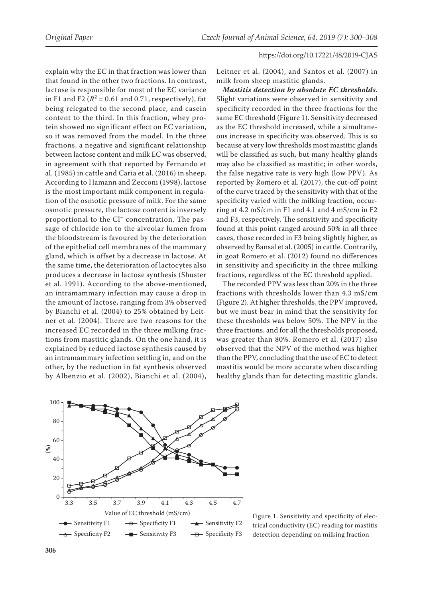explain why the EC in that fraction was lower than that found in the other two fractions. In contrast, lactose is responsible for most of the EC variance in F1 and F2  $(R^2 = 0.61$  and 0.71, respectively), fat being relegated to the second place, and casein content to the third. In this fraction, whey protein showed no significant effect on EC variation, so it was removed from the model. In the three fractions, a negative and significant relationship between lactose content and milk EC was observed, in agreement with that reported by Fernando et al. (1985) in cattle and Caria et al. (2016) in sheep. According to Hamann and Zecconi (1998), lactose is the most important milk component in regulation of the osmotic pressure of milk. For the same osmotic pressure, the lactose content is inversely proportional to the Cl– concentration. The passage of chloride ion to the alveolar lumen from the bloodstream is favoured by the deterioration of the epithelial cell membranes of the mammary gland, which is offset by a decrease in lactose. At the same time, the deterioration of lactocytes also produces a decrease in lactose synthesis (Shuster et al. 1991). According to the above-mentioned, an intramammary infection may cause a drop in the amount of lactose, ranging from 3% observed by Bianchi et al. (2004) to 25% obtained by Leitner et al. (2004). There are two reasons for the increased EC recorded in the three milking fractions from mastitic glands. On the one hand, it is explained by reduced lactose synthesis caused by an intramammary infection settling in, and on the other, by the reduction in fat synthesis observed by Albenzio et al. (2002), Bianchi et al. (2004),

Leitner et al. (2004), and Santos et al. (2007) in milk from sheep mastitic glands.

*Mastitis detection by absolute EC thresholds*. Slight variations were observed in sensitivity and specificity recorded in the three fractions for the same EC threshold (Figure 1). Sensitivity decreased as the EC threshold increased, while a simultaneous increase in specificity was observed. This is so because at very low thresholds most mastitic glands will be classified as such, but many healthy glands may also be classified as mastitic; in other words, the false negative rate is very high (low PPV). As reported by Romero et al. (2017), the cut-off point of the curve traced by the sensitivity with that of the specificity varied with the milking fraction, occurring at 4.2 mS/cm in F1 and 4.1 and 4 mS/cm in F2 and F3, respectively. The sensitivity and specificity found at this point ranged around 50% in all three cases, those recorded in F3 being slightly higher, as observed by Bansal et al. (2005) in cattle. Contrarily, in goat Romero et al. (2012) found no differences in sensitivity and specificity in the three milking fractions, regardless of the EC threshold applied.

The recorded PPV was less than 20% in the three fractions with thresholds lower than 4.3 mS/cm (Figure 2). At higher thresholds, the PPV improved, but we must bear in mind that the sensitivity for these thresholds was below 50%. The NPV in the three fractions, and for all the thresholds proposed, was greater than 80%. Romero et al. (2017) also observed that the NPV of the method was higher than the PPV, concluding that the use of EC to detect mastitis would be more accurate when discarding healthy glands than for detecting mastitic glands.



Figure 1. Sensitivity and specificity of electrical conductivity (EC) reading for mastitis detection depending on milking fraction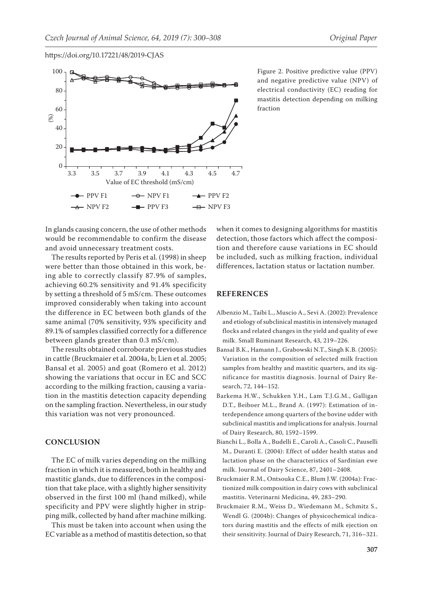

Figure 2. Positive predictive value (PPV) and negative predictive value (NPV) of electrical conductivity (EC) reading for mastitis detection depending on milking fraction

In glands causing concern, the use of other methods would be recommendable to confirm the disease and avoid unnecessary treatment costs.

The results reported by Peris et al. (1998) in sheep were better than those obtained in this work, being able to correctly classify 87.9% of samples, achieving 60.2% sensitivity and 91.4% specificity by setting a threshold of 5 mS/cm. These outcomes improved considerably when taking into account the difference in EC between both glands of the same animal (70% sensitivity, 93% specificity and 89.1% of samples classified correctly for a difference between glands greater than 0.3 mS/cm).

The results obtained corroborate previous studies in cattle (Bruckmaier et al. 2004a, b; Lien et al. 2005; Bansal et al. 2005) and goat (Romero et al. 2012) showing the variations that occur in EC and SCC according to the milking fraction, causing a variation in the mastitis detection capacity depending on the sampling fraction. Nevertheless, in our study this variation was not very pronounced.

### **CONCLUSION**

The EC of milk varies depending on the milking fraction in which it is measured, both in healthy and mastitic glands, due to differences in the composition that take place, with a slightly higher sensitivity observed in the first 100 ml (hand milked), while specificity and PPV were slightly higher in stripping milk, collected by hand after machine milking.

This must be taken into account when using the EC variable as a method of mastitis detection, so that when it comes to designing algorithms for mastitis detection, those factors which affect the composition and therefore cause variations in EC should be included, such as milking fraction, individual differences, lactation status or lactation number.

## **REFERENCES**

- Albenzio M., Taibi L., Muscio A., Sevi A. (2002): Prevalence and etiology of subclinical mastitis in intensively managed flocks and related changes in the yield and quality of ewe milk. Small Ruminant Research, 43, 219–226.
- Bansal B.K., Hamann J., Grabowski N.T., Singh K.B. (2005): Variation in the composition of selected milk fraction samples from healthy and mastitic quarters, and its significance for mastitis diagnosis. Journal of Dairy Research, 72, 144–152.
- Barkema H.W., Schukken Y.H., Lam T.J.G.M., Galligan D.T., Beiboer M.L., Brand A. (1997): Estimation of interdependence among quarters of the bovine udder with subclinical mastitis and implications for analysis. Journal of Dairy Research, 80, 1592–1599.
- Bianchi L., Bolla A., Budelli E., Caroli A., Casoli C., Pauselli M., Duranti E. (2004): Effect of udder health status and lactation phase on the characteristics of Sardinian ewe milk. Journal of Dairy Science, 87, 2401–2408.
- Bruckmaier R.M., Ontsouka C.E., Blum J.W. (2004a): Fractionized milk composition in dairy cows with subclinical mastitis. Veterinarni Medicina, 49, 283–290.
- Bruckmaier R.M., Weiss D., Wiedemann M., Schmitz S., Wendl G. (2004b): Changes of physicochemical indicators during mastitis and the effects of milk ejection on their sensitivity. Journal of Dairy Research, 71, 316–321.